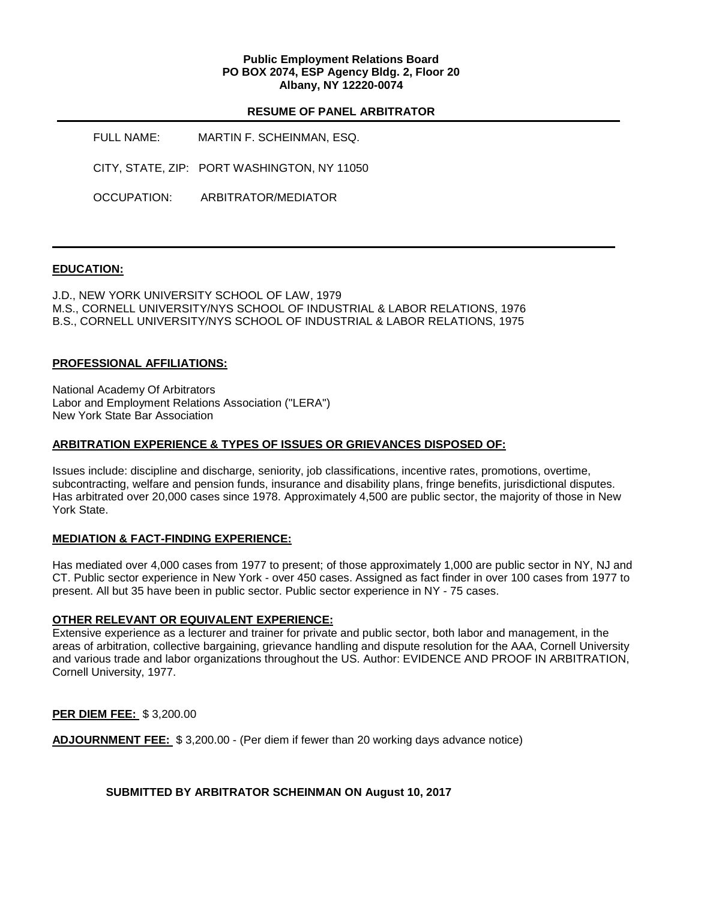### **Public Employment Relations Board PO BOX 2074, ESP Agency Bldg. 2, Floor 20 Albany, NY 12220-0074**

#### **RESUME OF PANEL ARBITRATOR**

FULL NAME: MARTIN F. SCHEINMAN, ESQ. CITY, STATE, ZIP: PORT WASHINGTON, NY 11050 OCCUPATION: ARBITRATOR/MEDIATOR

# **EDUCATION:**

J.D., NEW YORK UNIVERSITY SCHOOL OF LAW, 1979 M.S., CORNELL UNIVERSITY/NYS SCHOOL OF INDUSTRIAL & LABOR RELATIONS, 1976 B.S., CORNELL UNIVERSITY/NYS SCHOOL OF INDUSTRIAL & LABOR RELATIONS, 1975

### **PROFESSIONAL AFFILIATIONS:**

National Academy Of Arbitrators Labor and Employment Relations Association ("LERA") New York State Bar Association

### **ARBITRATION EXPERIENCE & TYPES OF ISSUES OR GRIEVANCES DISPOSED OF:**

Issues include: discipline and discharge, seniority, job classifications, incentive rates, promotions, overtime, subcontracting, welfare and pension funds, insurance and disability plans, fringe benefits, jurisdictional disputes. Has arbitrated over 20,000 cases since 1978. Approximately 4,500 are public sector, the majority of those in New York State.

### **MEDIATION & FACT-FINDING EXPERIENCE:**

Has mediated over 4,000 cases from 1977 to present; of those approximately 1,000 are public sector in NY, NJ and CT. Public sector experience in New York - over 450 cases. Assigned as fact finder in over 100 cases from 1977 to present. All but 35 have been in public sector. Public sector experience in NY - 75 cases.

### **OTHER RELEVANT OR EQUIVALENT EXPERIENCE:**

Extensive experience as a lecturer and trainer for private and public sector, both labor and management, in the areas of arbitration, collective bargaining, grievance handling and dispute resolution for the AAA, Cornell University and various trade and labor organizations throughout the US. Author: EVIDENCE AND PROOF IN ARBITRATION, Cornell University, 1977.

**PER DIEM FEE:** \$ 3,200.00

**ADJOURNMENT FEE:** \$ 3,200.00 - (Per diem if fewer than 20 working days advance notice)

**SUBMITTED BY ARBITRATOR SCHEINMAN ON August 10, 2017**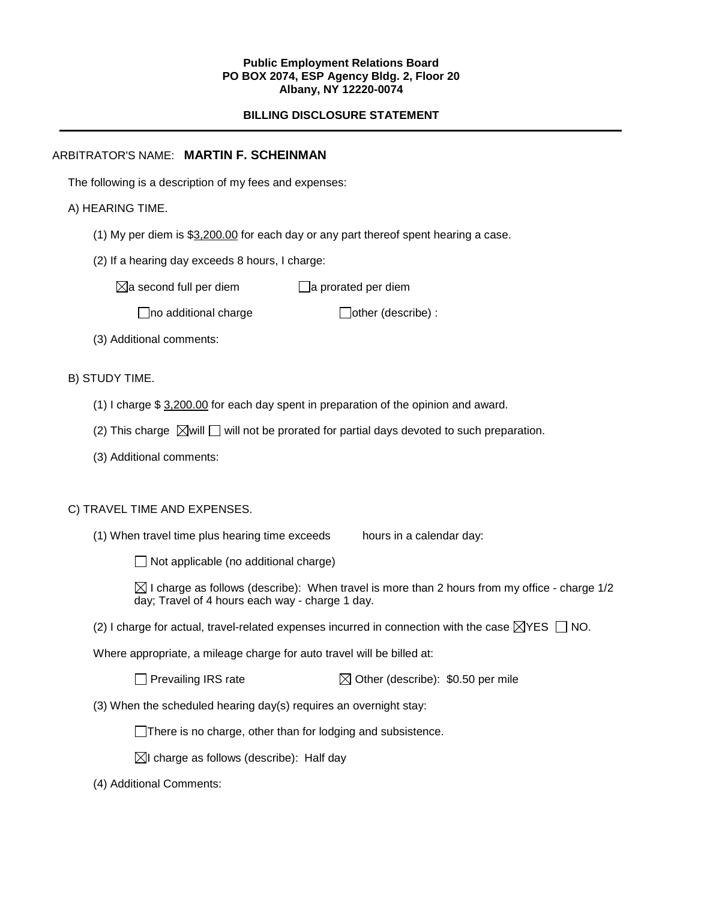#### **Public Employment Relations Board PO BOX 2074, ESP Agency Bldg. 2, Floor 20 Albany, NY 12220-0074**

# **BILLING DISCLOSURE STATEMENT**

## ARBITRATOR'S NAME: **MARTIN F. SCHEINMAN**

The following is a description of my fees and expenses:

## A) HEARING TIME.

- (1) My per diem is \$3,200.00 for each day or any part thereof spent hearing a case.
- (2) If a hearing day exceeds 8 hours, I charge:

 $\boxtimes$ a second full per diem  $\Box$ a prorated per diem

 $\Box$ no additional charge  $\Box$ other (describe) :

(3) Additional comments:

B) STUDY TIME.

- (1) I charge \$ 3,200.00 for each day spent in preparation of the opinion and award.
- (2) This charge  $\boxtimes$  will  $\Box$  will not be prorated for partial days devoted to such preparation.
- (3) Additional comments:

### C) TRAVEL TIME AND EXPENSES.

(1) When travel time plus hearing time exceeds hours in a calendar day:

 $\Box$  Not applicable (no additional charge)

 $\boxtimes$  I charge as follows (describe): When travel is more than 2 hours from my office - charge 1/2 day; Travel of 4 hours each way - charge 1 day.

(2) I charge for actual, travel-related expenses incurred in connection with the case  $\boxtimes$ YES  $\Box$  NO.

Where appropriate, a mileage charge for auto travel will be billed at:

 $\Box$  Prevailing IRS rate  $\Box$  Other (describe): \$0.50 per mile

(3) When the scheduled hearing day(s) requires an overnight stay:

There is no charge, other than for lodging and subsistence.

 $\boxtimes$ I charge as follows (describe): Half day

(4) Additional Comments: